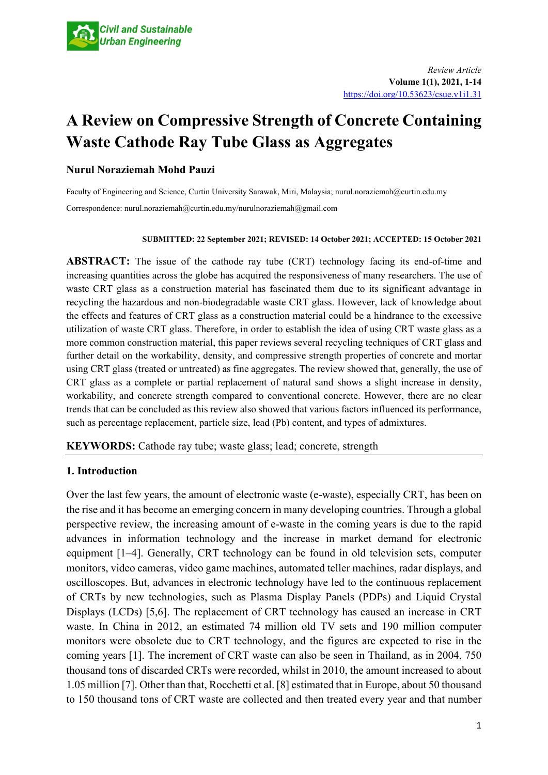# **A Review on Compressive Strength of Concrete Containing Waste Cathode Ray Tube Glass as Aggregates**

## **Nurul Noraziemah Mohd Pauzi**

Faculty of Engineering and Science, Curtin University Sarawak, Miri, Malaysia; nurul.noraziemah@curtin.edu.my Correspondence: nurul.noraziemah@curtin.edu.my/nurulnoraziemah@gmail.com

#### **SUBMITTED: 22 September 2021; REVISED: 14 October 2021; ACCEPTED: 15 October 2021**

**ABSTRACT:** The issue of the cathode ray tube (CRT) technology facing its end-of-time and increasing quantities across the globe has acquired the responsiveness of many researchers. The use of waste CRT glass as a construction material has fascinated them due to its significant advantage in recycling the hazardous and non-biodegradable waste CRT glass. However, lack of knowledge about the effects and features of CRT glass as a construction material could be a hindrance to the excessive utilization of waste CRT glass. Therefore, in order to establish the idea of using CRT waste glass as a more common construction material, this paper reviews several recycling techniques of CRT glass and further detail on the workability, density, and compressive strength properties of concrete and mortar using CRT glass (treated or untreated) as fine aggregates. The review showed that, generally, the use of CRT glass as a complete or partial replacement of natural sand shows a slight increase in density, workability, and concrete strength compared to conventional concrete. However, there are no clear trends that can be concluded as this review also showed that various factors influenced its performance, such as percentage replacement, particle size, lead (Pb) content, and types of admixtures.

**KEYWORDS:** Cathode ray tube; waste glass; lead; concrete, strength

# **1. Introduction**

Over the last few years, the amount of electronic waste (e-waste), especially CRT, has been on the rise and it has become an emerging concern in many developing countries. Through a global perspective review, the increasing amount of e-waste in the coming years is due to the rapid advances in information technology and the increase in market demand for electronic equipment [1–4]. Generally, CRT technology can be found in old television sets, computer monitors, video cameras, video game machines, automated teller machines, radar displays, and oscilloscopes. But, advances in electronic technology have led to the continuous replacement of CRTs by new technologies, such as Plasma Display Panels (PDPs) and Liquid Crystal Displays (LCDs) [5,6]. The replacement of CRT technology has caused an increase in CRT waste. In China in 2012, an estimated 74 million old TV sets and 190 million computer monitors were obsolete due to CRT technology, and the figures are expected to rise in the coming years [1]. The increment of CRT waste can also be seen in Thailand, as in 2004, 750 thousand tons of discarded CRTs were recorded, whilst in 2010, the amount increased to about 1.05 million [7]. Other than that, Rocchetti et al. [8] estimated that in Europe, about 50 thousand to 150 thousand tons of CRT waste are collected and then treated every year and that number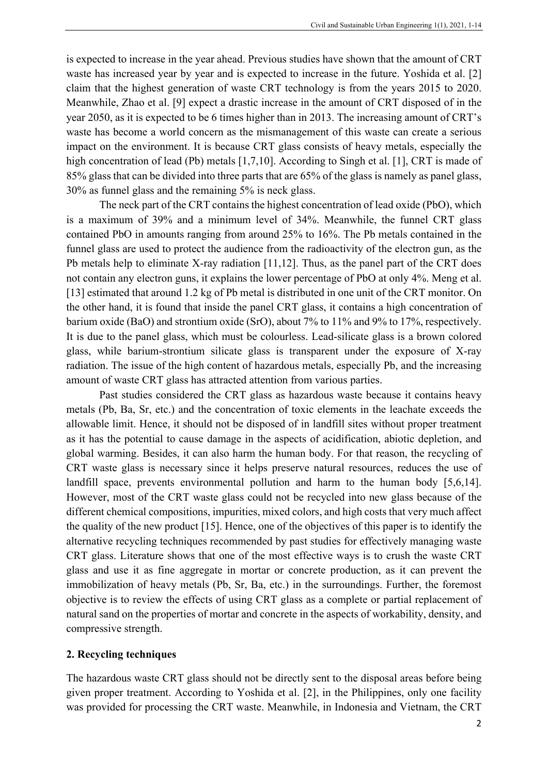is expected to increase in the year ahead. Previous studies have shown that the amount of CRT waste has increased year by year and is expected to increase in the future. Yoshida et al. [2] claim that the highest generation of waste CRT technology is from the years 2015 to 2020. Meanwhile, Zhao et al. [9] expect a drastic increase in the amount of CRT disposed of in the year 2050, as it is expected to be 6 times higher than in 2013. The increasing amount of CRT's waste has become a world concern as the mismanagement of this waste can create a serious impact on the environment. It is because CRT glass consists of heavy metals, especially the high concentration of lead (Pb) metals [1,7,10]. According to Singh et al. [1], CRT is made of 85% glass that can be divided into three parts that are 65% of the glass is namely as panel glass, 30% as funnel glass and the remaining 5% is neck glass.

The neck part of the CRT contains the highest concentration of lead oxide (PbO), which is a maximum of 39% and a minimum level of 34%. Meanwhile, the funnel CRT glass contained PbO in amounts ranging from around 25% to 16%. The Pb metals contained in the funnel glass are used to protect the audience from the radioactivity of the electron gun, as the Pb metals help to eliminate X-ray radiation [11,12]. Thus, as the panel part of the CRT does not contain any electron guns, it explains the lower percentage of PbO at only 4%. Meng et al. [13] estimated that around 1.2 kg of Pb metal is distributed in one unit of the CRT monitor. On the other hand, it is found that inside the panel CRT glass, it contains a high concentration of barium oxide (BaO) and strontium oxide (SrO), about 7% to 11% and 9% to 17%, respectively. It is due to the panel glass, which must be colourless. Lead-silicate glass is a brown colored glass, while barium-strontium silicate glass is transparent under the exposure of X-ray radiation. The issue of the high content of hazardous metals, especially Pb, and the increasing amount of waste CRT glass has attracted attention from various parties.

Past studies considered the CRT glass as hazardous waste because it contains heavy metals (Pb, Ba, Sr, etc.) and the concentration of toxic elements in the leachate exceeds the allowable limit. Hence, it should not be disposed of in landfill sites without proper treatment as it has the potential to cause damage in the aspects of acidification, abiotic depletion, and global warming. Besides, it can also harm the human body. For that reason, the recycling of CRT waste glass is necessary since it helps preserve natural resources, reduces the use of landfill space, prevents environmental pollution and harm to the human body [5,6,14]. However, most of the CRT waste glass could not be recycled into new glass because of the different chemical compositions, impurities, mixed colors, and high costs that very much affect the quality of the new product [15]. Hence, one of the objectives of this paper is to identify the alternative recycling techniques recommended by past studies for effectively managing waste CRT glass. Literature shows that one of the most effective ways is to crush the waste CRT glass and use it as fine aggregate in mortar or concrete production, as it can prevent the immobilization of heavy metals (Pb, Sr, Ba, etc.) in the surroundings. Further, the foremost objective is to review the effects of using CRT glass as a complete or partial replacement of natural sand on the properties of mortar and concrete in the aspects of workability, density, and compressive strength.

#### **2. Recycling techniques**

The hazardous waste CRT glass should not be directly sent to the disposal areas before being given proper treatment. According to Yoshida et al. [2], in the Philippines, only one facility was provided for processing the CRT waste. Meanwhile, in Indonesia and Vietnam, the CRT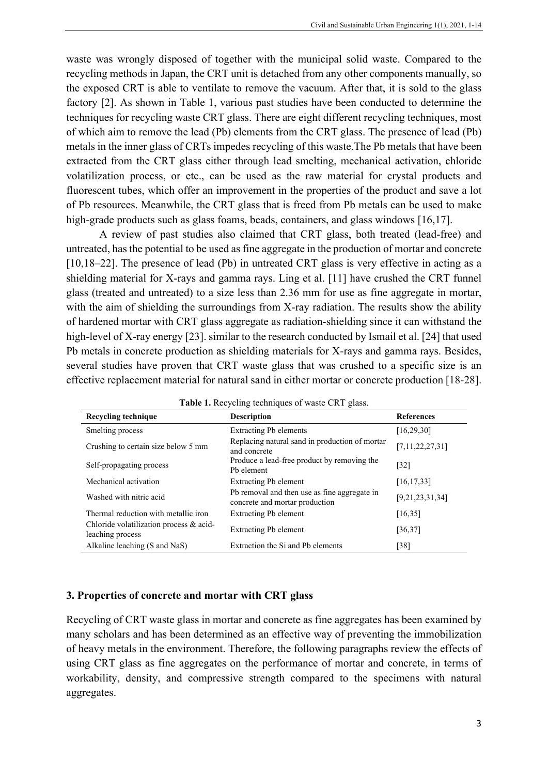waste was wrongly disposed of together with the municipal solid waste. Compared to the recycling methods in Japan, the CRT unit is detached from any other components manually, so the exposed CRT is able to ventilate to remove the vacuum. After that, it is sold to the glass factory [2]. As shown in Table 1, various past studies have been conducted to determine the techniques for recycling waste CRT glass. There are eight different recycling techniques, most of which aim to remove the lead (Pb) elements from the CRT glass. The presence of lead (Pb) metals in the inner glass of CRTs impedes recycling of this waste.The Pb metals that have been extracted from the CRT glass either through lead smelting, mechanical activation, chloride volatilization process, or etc., can be used as the raw material for crystal products and fluorescent tubes, which offer an improvement in the properties of the product and save a lot of Pb resources. Meanwhile, the CRT glass that is freed from Pb metals can be used to make high-grade products such as glass foams, beads, containers, and glass windows [16,17].

A review of past studies also claimed that CRT glass, both treated (lead-free) and untreated, has the potential to be used as fine aggregate in the production of mortar and concrete [10,18–22]. The presence of lead (Pb) in untreated CRT glass is very effective in acting as a shielding material for X-rays and gamma rays. Ling et al. [11] have crushed the CRT funnel glass (treated and untreated) to a size less than 2.36 mm for use as fine aggregate in mortar, with the aim of shielding the surroundings from X-ray radiation. The results show the ability of hardened mortar with CRT glass aggregate as radiation-shielding since it can withstand the high-level of X-ray energy [23]. similar to the research conducted by Ismail et al. [24] that used Pb metals in concrete production as shielding materials for X-rays and gamma rays. Besides, several studies have proven that CRT waste glass that was crushed to a specific size is an effective replacement material for natural sand in either mortar or concrete production [18-28].

| Recycling technique                                         | <b>Description</b>                                                             | <b>References</b> |
|-------------------------------------------------------------|--------------------------------------------------------------------------------|-------------------|
| Smelting process                                            | <b>Extracting Pb elements</b>                                                  | [16, 29, 30]      |
| Crushing to certain size below 5 mm                         | Replacing natural sand in production of mortar<br>and concrete                 | [7,11,22,27,31]   |
| Self-propagating process                                    | Produce a lead-free product by removing the<br>Pb element                      | [32]              |
| Mechanical activation                                       | Extracting Pb element                                                          | [16, 17, 33]      |
| Washed with nitric acid                                     | Pb removal and then use as fine aggregate in<br>concrete and mortar production | [9,21,23,31,34]   |
| Thermal reduction with metallic iron                        | <b>Extracting Pb element</b>                                                   | [16, 35]          |
| Chloride volatilization process & acid-<br>leaching process | <b>Extracting Pb element</b>                                                   | [36, 37]          |
| Alkaline leaching (S and NaS)                               | Extraction the Si and Pb elements                                              | [38]              |

Table 1. Recycling techniques of waste CRT glass.

#### **3. Properties of concrete and mortar with CRT glass**

Recycling of CRT waste glass in mortar and concrete as fine aggregates has been examined by many scholars and has been determined as an effective way of preventing the immobilization of heavy metals in the environment. Therefore, the following paragraphs review the effects of using CRT glass as fine aggregates on the performance of mortar and concrete, in terms of workability, density, and compressive strength compared to the specimens with natural aggregates.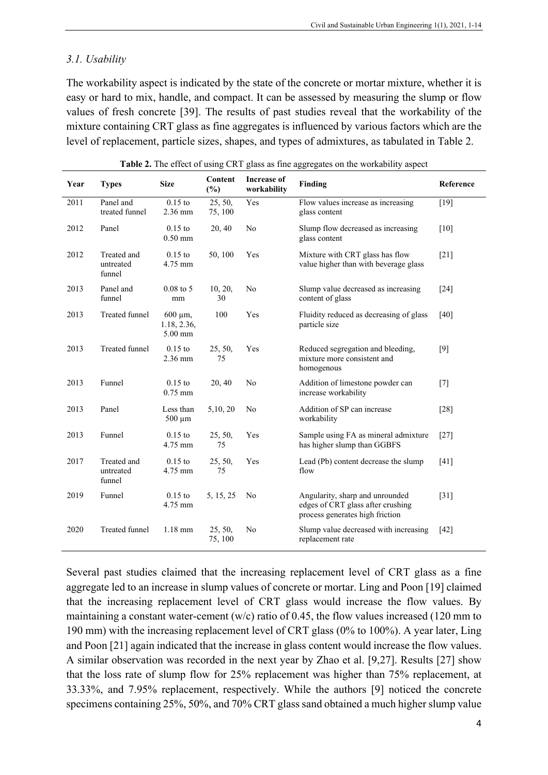#### *3.1. Usability*

The workability aspect is indicated by the state of the concrete or mortar mixture, whether it is easy or hard to mix, handle, and compact. It can be assessed by measuring the slump or flow values of fresh concrete [39]. The results of past studies reveal that the workability of the mixture containing CRT glass as fine aggregates is influenced by various factors which are the level of replacement, particle sizes, shapes, and types of admixtures, as tabulated in Table 2.

| Year | <b>Types</b>                       | <b>Size</b>                               | Content<br>$(\%)$  | <b>Increase of</b><br>workability | <b>Finding</b>                                                                                          | Reference          |
|------|------------------------------------|-------------------------------------------|--------------------|-----------------------------------|---------------------------------------------------------------------------------------------------------|--------------------|
| 2011 | Panel and<br>treated funnel        | $0.15$ to<br>2.36 mm                      | 25, 50,<br>75, 100 | Yes                               | Flow values increase as increasing<br>glass content                                                     | $[19]$             |
| 2012 | Panel                              | $0.15$ to<br>$0.50$ mm                    | 20, 40             | N <sub>o</sub>                    | Slump flow decreased as increasing<br>glass content                                                     | [10]               |
| 2012 | Treated and<br>untreated<br>funnel | $0.15$ to<br>4.75 mm                      | 50, 100            | Yes                               | Mixture with CRT glass has flow<br>value higher than with beverage glass                                | $[21]$             |
| 2013 | Panel and<br>funnel                | $0.08$ to 5<br>mm                         | 10, 20,<br>30      | N <sub>o</sub>                    | Slump value decreased as increasing<br>content of glass                                                 | $[24]$             |
| 2013 | <b>Treated funnel</b>              | $600 \mu m$ ,<br>1.18, 2.36,<br>$5.00$ mm | 100                | Yes                               | Fluidity reduced as decreasing of glass<br>particle size                                                | [40]               |
| 2013 | <b>Treated funnel</b>              | $0.15$ to<br>2.36 mm                      | 25, 50,<br>75      | Yes                               | Reduced segregation and bleeding,<br>mixture more consistent and<br>homogenous                          | $[9]$              |
| 2013 | Funnel                             | $0.15$ to<br>$0.75$ mm                    | 20, 40             | No                                | Addition of limestone powder can<br>increase workability                                                | $[7]$              |
| 2013 | Panel                              | Less than<br>$500 \mu m$                  | 5, 10, 20          | N <sub>o</sub>                    | Addition of SP can increase<br>workability                                                              | $[28]$             |
| 2013 | Funnel                             | $0.15$ to<br>4.75 mm                      | 25, 50,<br>75      | Yes                               | Sample using FA as mineral admixture<br>has higher slump than GGBFS                                     | $[27]$             |
| 2017 | Treated and<br>untreated<br>funnel | $0.15$ to<br>4.75 mm                      | 25, 50,<br>75      | Yes                               | Lead (Pb) content decrease the slump<br>flow                                                            | $[41]$             |
| 2019 | Funnel                             | $0.15$ to<br>4.75 mm                      | 5, 15, 25          | N <sub>o</sub>                    | Angularity, sharp and unrounded<br>edges of CRT glass after crushing<br>process generates high friction | $\lceil 31 \rceil$ |
| 2020 | <b>Treated funnel</b>              | $1.18$ mm                                 | 25, 50,<br>75, 100 | No                                | Slump value decreased with increasing<br>replacement rate                                               | [42]               |

**Table 2.** The effect of using CRT glass as fine aggregates on the workability aspect

Several past studies claimed that the increasing replacement level of CRT glass as a fine aggregate led to an increase in slump values of concrete or mortar. Ling and Poon [19] claimed that the increasing replacement level of CRT glass would increase the flow values. By maintaining a constant water-cement (w/c) ratio of 0.45, the flow values increased (120 mm to 190 mm) with the increasing replacement level of CRT glass (0% to 100%). A year later, Ling and Poon [21] again indicated that the increase in glass content would increase the flow values. A similar observation was recorded in the next year by Zhao et al. [9,27]. Results [27] show that the loss rate of slump flow for 25% replacement was higher than 75% replacement, at 33.33%, and 7.95% replacement, respectively. While the authors [9] noticed the concrete specimens containing 25%, 50%, and 70% CRT glass sand obtained a much higher slump value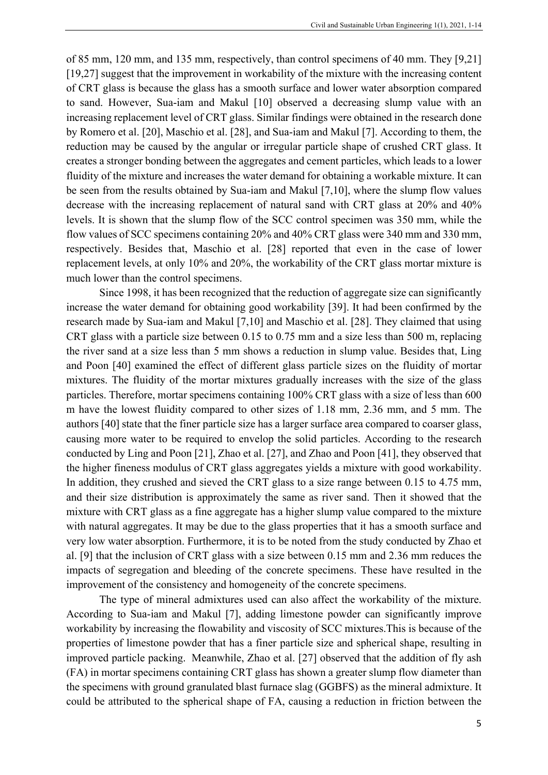of 85 mm, 120 mm, and 135 mm, respectively, than control specimens of 40 mm. They [9,21] [19,27] suggest that the improvement in workability of the mixture with the increasing content of CRT glass is because the glass has a smooth surface and lower water absorption compared to sand. However, Sua-iam and Makul [10] observed a decreasing slump value with an increasing replacement level of CRT glass. Similar findings were obtained in the research done by Romero et al. [20], Maschio et al. [28], and Sua-iam and Makul [7]. According to them, the reduction may be caused by the angular or irregular particle shape of crushed CRT glass. It creates a stronger bonding between the aggregates and cement particles, which leads to a lower fluidity of the mixture and increases the water demand for obtaining a workable mixture. It can be seen from the results obtained by Sua-iam and Makul [7,10], where the slump flow values decrease with the increasing replacement of natural sand with CRT glass at 20% and 40% levels. It is shown that the slump flow of the SCC control specimen was 350 mm, while the flow values of SCC specimens containing 20% and 40% CRT glass were 340 mm and 330 mm, respectively. Besides that, Maschio et al. [28] reported that even in the case of lower replacement levels, at only 10% and 20%, the workability of the CRT glass mortar mixture is much lower than the control specimens.

Since 1998, it has been recognized that the reduction of aggregate size can significantly increase the water demand for obtaining good workability [39]. It had been confirmed by the research made by Sua-iam and Makul [7,10] and Maschio et al. [28]. They claimed that using CRT glass with a particle size between 0.15 to 0.75 mm and a size less than 500 m, replacing the river sand at a size less than 5 mm shows a reduction in slump value. Besides that, Ling and Poon [40] examined the effect of different glass particle sizes on the fluidity of mortar mixtures. The fluidity of the mortar mixtures gradually increases with the size of the glass particles. Therefore, mortar specimens containing 100% CRT glass with a size of less than 600 m have the lowest fluidity compared to other sizes of 1.18 mm, 2.36 mm, and 5 mm. The authors [40] state that the finer particle size has a larger surface area compared to coarser glass, causing more water to be required to envelop the solid particles. According to the research conducted by Ling and Poon [21], Zhao et al. [27], and Zhao and Poon [41], they observed that the higher fineness modulus of CRT glass aggregates yields a mixture with good workability. In addition, they crushed and sieved the CRT glass to a size range between 0.15 to 4.75 mm, and their size distribution is approximately the same as river sand. Then it showed that the mixture with CRT glass as a fine aggregate has a higher slump value compared to the mixture with natural aggregates. It may be due to the glass properties that it has a smooth surface and very low water absorption. Furthermore, it is to be noted from the study conducted by Zhao et al. [9] that the inclusion of CRT glass with a size between 0.15 mm and 2.36 mm reduces the impacts of segregation and bleeding of the concrete specimens. These have resulted in the improvement of the consistency and homogeneity of the concrete specimens.

The type of mineral admixtures used can also affect the workability of the mixture. According to Sua-iam and Makul [7], adding limestone powder can significantly improve workability by increasing the flowability and viscosity of SCC mixtures.This is because of the properties of limestone powder that has a finer particle size and spherical shape, resulting in improved particle packing. Meanwhile, Zhao et al. [27] observed that the addition of fly ash (FA) in mortar specimens containing CRT glass has shown a greater slump flow diameter than the specimens with ground granulated blast furnace slag (GGBFS) as the mineral admixture. It could be attributed to the spherical shape of FA, causing a reduction in friction between the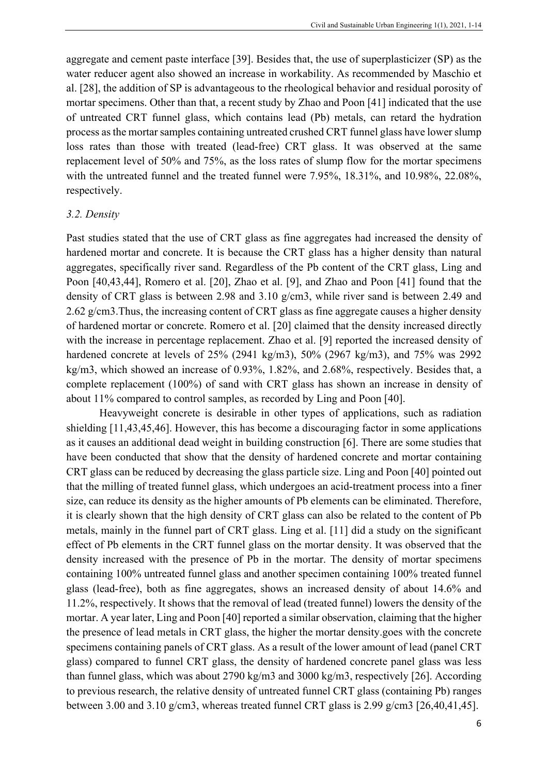aggregate and cement paste interface [39]. Besides that, the use of superplasticizer (SP) as the water reducer agent also showed an increase in workability. As recommended by Maschio et al. [28], the addition of SP is advantageous to the rheological behavior and residual porosity of mortar specimens. Other than that, a recent study by Zhao and Poon [41] indicated that the use of untreated CRT funnel glass, which contains lead (Pb) metals, can retard the hydration process as the mortar samples containing untreated crushed CRT funnel glass have lower slump loss rates than those with treated (lead-free) CRT glass. It was observed at the same replacement level of 50% and 75%, as the loss rates of slump flow for the mortar specimens with the untreated funnel and the treated funnel were 7.95%, 18.31%, and 10.98%, 22.08%, respectively.

#### *3.2. Density*

Past studies stated that the use of CRT glass as fine aggregates had increased the density of hardened mortar and concrete. It is because the CRT glass has a higher density than natural aggregates, specifically river sand. Regardless of the Pb content of the CRT glass, Ling and Poon [40,43,44], Romero et al. [20], Zhao et al. [9], and Zhao and Poon [41] found that the density of CRT glass is between 2.98 and 3.10 g/cm3, while river sand is between 2.49 and 2.62 g/cm3.Thus, the increasing content of CRT glass as fine aggregate causes a higher density of hardened mortar or concrete. Romero et al. [20] claimed that the density increased directly with the increase in percentage replacement. Zhao et al. [9] reported the increased density of hardened concrete at levels of 25% (2941 kg/m3), 50% (2967 kg/m3), and 75% was 2992 kg/m3, which showed an increase of 0.93%, 1.82%, and 2.68%, respectively. Besides that, a complete replacement (100%) of sand with CRT glass has shown an increase in density of about 11% compared to control samples, as recorded by Ling and Poon [40].

Heavyweight concrete is desirable in other types of applications, such as radiation shielding [11,43,45,46]. However, this has become a discouraging factor in some applications as it causes an additional dead weight in building construction [6]. There are some studies that have been conducted that show that the density of hardened concrete and mortar containing CRT glass can be reduced by decreasing the glass particle size. Ling and Poon [40] pointed out that the milling of treated funnel glass, which undergoes an acid-treatment process into a finer size, can reduce its density as the higher amounts of Pb elements can be eliminated. Therefore, it is clearly shown that the high density of CRT glass can also be related to the content of Pb metals, mainly in the funnel part of CRT glass. Ling et al. [11] did a study on the significant effect of Pb elements in the CRT funnel glass on the mortar density. It was observed that the density increased with the presence of Pb in the mortar. The density of mortar specimens containing 100% untreated funnel glass and another specimen containing 100% treated funnel glass (lead-free), both as fine aggregates, shows an increased density of about 14.6% and 11.2%, respectively. It shows that the removal of lead (treated funnel) lowers the density of the mortar. A year later, Ling and Poon [40] reported a similar observation, claiming that the higher the presence of lead metals in CRT glass, the higher the mortar density.goes with the concrete specimens containing panels of CRT glass. As a result of the lower amount of lead (panel CRT glass) compared to funnel CRT glass, the density of hardened concrete panel glass was less than funnel glass, which was about 2790 kg/m3 and 3000 kg/m3, respectively [26]. According to previous research, the relative density of untreated funnel CRT glass (containing Pb) ranges between 3.00 and 3.10 g/cm3, whereas treated funnel CRT glass is 2.99 g/cm3 [26,40,41,45].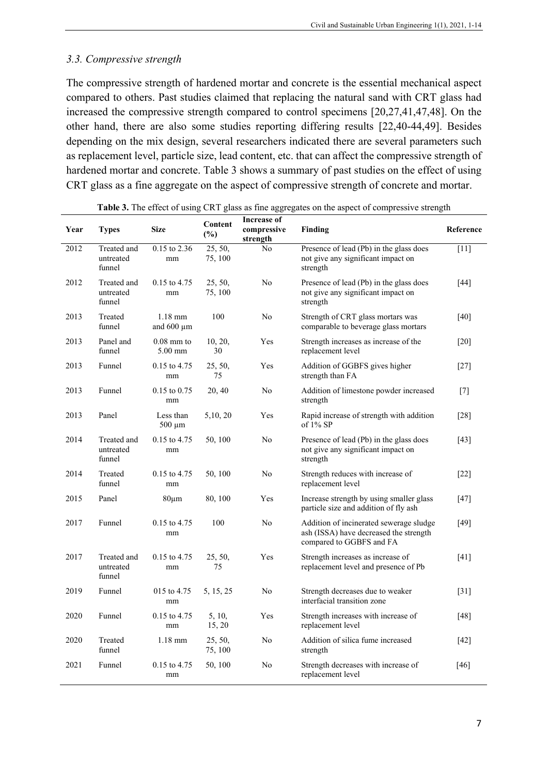## *3.3. Compressive strength*

The compressive strength of hardened mortar and concrete is the essential mechanical aspect compared to others. Past studies claimed that replacing the natural sand with CRT glass had increased the compressive strength compared to control specimens [20,27,41,47,48]. On the other hand, there are also some studies reporting differing results [22,40-44,49]. Besides depending on the mix design, several researchers indicated there are several parameters such as replacement level, particle size, lead content, etc. that can affect the compressive strength of hardened mortar and concrete. Table 3 shows a summary of past studies on the effect of using CRT glass as a fine aggregate on the aspect of compressive strength of concrete and mortar.

| Year | <b>Types</b>                       | <b>Size</b>                  | Content<br>$(\%)$  | <b>Increase of</b><br>compressive<br>strength | Finding                                                                                                       | Reference          |
|------|------------------------------------|------------------------------|--------------------|-----------------------------------------------|---------------------------------------------------------------------------------------------------------------|--------------------|
| 2012 | Treated and<br>untreated<br>funnel | 0.15 to 2.36<br>mm           | 25, 50,<br>75, 100 | N <sub>o</sub>                                | Presence of lead (Pb) in the glass does<br>not give any significant impact on<br>strength                     | $[11]$             |
| 2012 | Treated and<br>untreated<br>funnel | 0.15 to 4.75<br>mm           | 25, 50,<br>75, 100 | N <sub>o</sub>                                | Presence of lead (Pb) in the glass does<br>not give any significant impact on<br>strength                     | $[44]$             |
| 2013 | Treated<br>funnel                  | $1.18$ mm<br>and $600 \mu m$ | 100                | No                                            | Strength of CRT glass mortars was<br>comparable to beverage glass mortars                                     | $[40]$             |
| 2013 | Panel and<br>funnel                | $0.08$ mm to<br>$5.00$ mm    | 10, 20,<br>30      | Yes                                           | Strength increases as increase of the<br>replacement level                                                    | $[20]$             |
| 2013 | Funnel                             | 0.15 to 4.75<br>mm           | 25, 50,<br>75      | Yes                                           | Addition of GGBFS gives higher<br>strength than FA                                                            | $[27]$             |
| 2013 | Funnel                             | $0.15$ to $0.75$<br>mm       | 20, 40             | No                                            | Addition of limestone powder increased<br>strength                                                            | $[7]$              |
| 2013 | Panel                              | Less than<br>$500 \mu m$     | 5, 10, 20          | Yes                                           | Rapid increase of strength with addition<br>of $1\%$ SP                                                       | $[28]$             |
| 2014 | Treated and<br>untreated<br>funnel | $0.15$ to 4.75<br>mm         | 50, 100            | N <sub>o</sub>                                | Presence of lead (Pb) in the glass does<br>not give any significant impact on<br>strength                     | $[43]$             |
| 2014 | Treated<br>funnel                  | $0.15$ to 4.75<br>mm         | 50, 100            | No                                            | Strength reduces with increase of<br>replacement level                                                        | [22]               |
| 2015 | Panel                              | $80 \mu m$                   | 80, 100            | Yes                                           | Increase strength by using smaller glass<br>particle size and addition of fly ash                             | $[47]$             |
| 2017 | Funnel                             | $0.15$ to 4.75<br>mm         | 100                | No                                            | Addition of incinerated sewerage sludge<br>ash (ISSA) have decreased the strength<br>compared to GGBFS and FA | $[49]$             |
| 2017 | Treated and<br>untreated<br>funnel | $0.15$ to 4.75<br>mm         | 25, 50,<br>75      | Yes                                           | Strength increases as increase of<br>replacement level and presence of Pb                                     | $[41]$             |
| 2019 | Funnel                             | 015 to 4.75<br>mm            | 5, 15, 25          | No                                            | Strength decreases due to weaker<br>interfacial transition zone                                               | $\lceil 31 \rceil$ |
| 2020 | Funnel                             | 0.15 to 4.75<br>mm           | 5, 10,<br>15, 20   | Yes                                           | Strength increases with increase of<br>replacement level                                                      | $[48]$             |
| 2020 | Treated<br>funnel                  | $1.18$ mm                    | 25, 50,<br>75, 100 | No                                            | Addition of silica fume increased<br>strength                                                                 | $[42]$             |
| 2021 | Funnel                             | $0.15$ to 4.75<br>mm         | 50, 100            | No                                            | Strength decreases with increase of<br>replacement level                                                      | $[46]$             |

|  | Table 3. The effect of using CRT glass as fine aggregates on the aspect of compressive strength |  |  |  |  |
|--|-------------------------------------------------------------------------------------------------|--|--|--|--|
|  |                                                                                                 |  |  |  |  |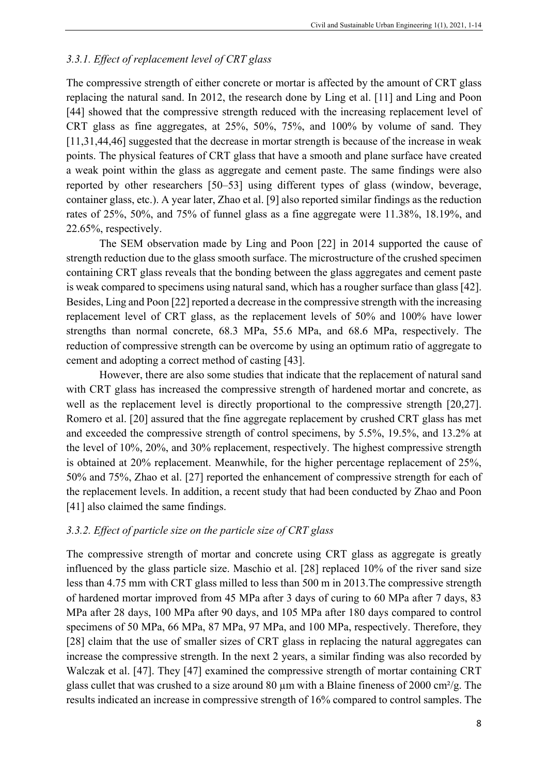#### *3.3.1. Effect of replacement level of CRT glass*

The compressive strength of either concrete or mortar is affected by the amount of CRT glass replacing the natural sand. In 2012, the research done by Ling et al. [11] and Ling and Poon [44] showed that the compressive strength reduced with the increasing replacement level of CRT glass as fine aggregates, at 25%, 50%, 75%, and 100% by volume of sand. They [11,31,44,46] suggested that the decrease in mortar strength is because of the increase in weak points. The physical features of CRT glass that have a smooth and plane surface have created a weak point within the glass as aggregate and cement paste. The same findings were also reported by other researchers [50–53] using different types of glass (window, beverage, container glass, etc.). A year later, Zhao et al. [9] also reported similar findings as the reduction rates of 25%, 50%, and 75% of funnel glass as a fine aggregate were 11.38%, 18.19%, and 22.65%, respectively.

The SEM observation made by Ling and Poon [22] in 2014 supported the cause of strength reduction due to the glass smooth surface. The microstructure of the crushed specimen containing CRT glass reveals that the bonding between the glass aggregates and cement paste is weak compared to specimens using natural sand, which has a rougher surface than glass [42]. Besides, Ling and Poon [22] reported a decrease in the compressive strength with the increasing replacement level of CRT glass, as the replacement levels of 50% and 100% have lower strengths than normal concrete, 68.3 MPa, 55.6 MPa, and 68.6 MPa, respectively. The reduction of compressive strength can be overcome by using an optimum ratio of aggregate to cement and adopting a correct method of casting [43].

However, there are also some studies that indicate that the replacement of natural sand with CRT glass has increased the compressive strength of hardened mortar and concrete, as well as the replacement level is directly proportional to the compressive strength [20,27]. Romero et al. [20] assured that the fine aggregate replacement by crushed CRT glass has met and exceeded the compressive strength of control specimens, by 5.5%, 19.5%, and 13.2% at the level of 10%, 20%, and 30% replacement, respectively. The highest compressive strength is obtained at 20% replacement. Meanwhile, for the higher percentage replacement of 25%, 50% and 75%, Zhao et al. [27] reported the enhancement of compressive strength for each of the replacement levels. In addition, a recent study that had been conducted by Zhao and Poon [41] also claimed the same findings.

## *3.3.2. Effect of particle size on the particle size of CRT glass*

The compressive strength of mortar and concrete using CRT glass as aggregate is greatly influenced by the glass particle size. Maschio et al. [28] replaced 10% of the river sand size less than 4.75 mm with CRT glass milled to less than 500 m in 2013.The compressive strength of hardened mortar improved from 45 MPa after 3 days of curing to 60 MPa after 7 days, 83 MPa after 28 days, 100 MPa after 90 days, and 105 MPa after 180 days compared to control specimens of 50 MPa, 66 MPa, 87 MPa, 97 MPa, and 100 MPa, respectively. Therefore, they [28] claim that the use of smaller sizes of CRT glass in replacing the natural aggregates can increase the compressive strength. In the next 2 years, a similar finding was also recorded by Walczak et al. [47]. They [47] examined the compressive strength of mortar containing CRT glass cullet that was crushed to a size around 80  $\mu$ m with a Blaine fineness of 2000 cm<sup>2</sup>/g. The results indicated an increase in compressive strength of 16% compared to control samples. The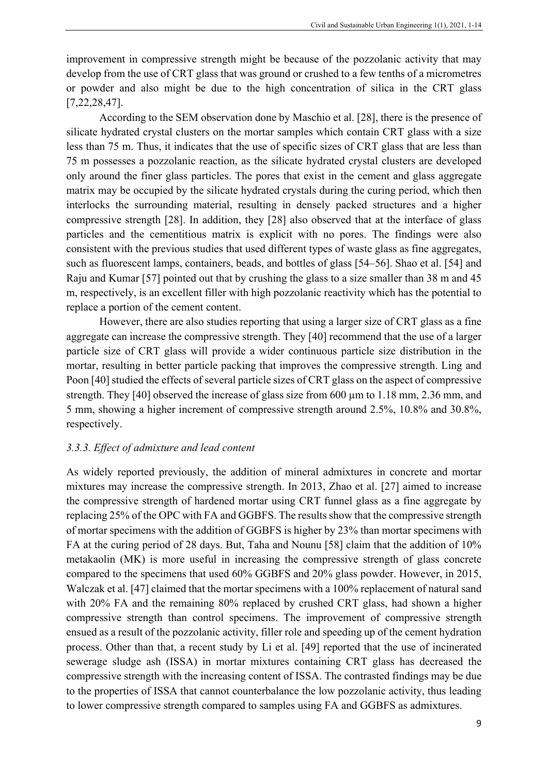improvement in compressive strength might be because of the pozzolanic activity that may develop from the use of CRT glass that was ground or crushed to a few tenths of a micrometres or powder and also might be due to the high concentration of silica in the CRT glass [7,22,28,47].

According to the SEM observation done by Maschio et al. [28], there is the presence of silicate hydrated crystal clusters on the mortar samples which contain CRT glass with a size less than 75 m. Thus, it indicates that the use of specific sizes of CRT glass that are less than 75 m possesses a pozzolanic reaction, as the silicate hydrated crystal clusters are developed only around the finer glass particles. The pores that exist in the cement and glass aggregate matrix may be occupied by the silicate hydrated crystals during the curing period, which then interlocks the surrounding material, resulting in densely packed structures and a higher compressive strength [28]. In addition, they [28] also observed that at the interface of glass particles and the cementitious matrix is explicit with no pores. The findings were also consistent with the previous studies that used different types of waste glass as fine aggregates, such as fluorescent lamps, containers, beads, and bottles of glass [54–56]. Shao et al. [54] and Raju and Kumar [57] pointed out that by crushing the glass to a size smaller than 38 m and 45 m, respectively, is an excellent filler with high pozzolanic reactivity which has the potential to replace a portion of the cement content.

However, there are also studies reporting that using a larger size of CRT glass as a fine aggregate can increase the compressive strength. They [40] recommend that the use of a larger particle size of CRT glass will provide a wider continuous particle size distribution in the mortar, resulting in better particle packing that improves the compressive strength. Ling and Poon [40] studied the effects of several particle sizes of CRT glass on the aspect of compressive strength. They [40] observed the increase of glass size from 600  $\mu$ m to 1.18 mm, 2.36 mm, and 5 mm, showing a higher increment of compressive strength around 2.5%, 10.8% and 30.8%, respectively.

#### *3.3.3. Effect of admixture and lead content*

As widely reported previously, the addition of mineral admixtures in concrete and mortar mixtures may increase the compressive strength. In 2013, Zhao et al. [27] aimed to increase the compressive strength of hardened mortar using CRT funnel glass as a fine aggregate by replacing 25% of the OPC with FA and GGBFS. The results show that the compressive strength of mortar specimens with the addition of GGBFS is higher by 23% than mortar specimens with FA at the curing period of 28 days. But, Taha and Nounu [58] claim that the addition of 10% metakaolin (MK) is more useful in increasing the compressive strength of glass concrete compared to the specimens that used 60% GGBFS and 20% glass powder. However, in 2015, Walczak et al. [47] claimed that the mortar specimens with a 100% replacement of natural sand with 20% FA and the remaining 80% replaced by crushed CRT glass, had shown a higher compressive strength than control specimens. The improvement of compressive strength ensued as a result of the pozzolanic activity, filler role and speeding up of the cement hydration process. Other than that, a recent study by Li et al. [49] reported that the use of incinerated sewerage sludge ash (ISSA) in mortar mixtures containing CRT glass has decreased the compressive strength with the increasing content of ISSA. The contrasted findings may be due to the properties of ISSA that cannot counterbalance the low pozzolanic activity, thus leading to lower compressive strength compared to samples using FA and GGBFS as admixtures.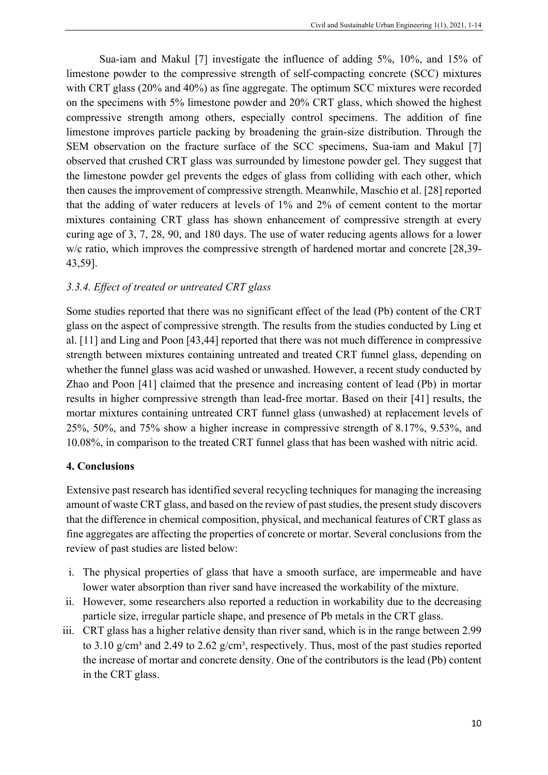Sua-iam and Makul [7] investigate the influence of adding 5%, 10%, and 15% of limestone powder to the compressive strength of self-compacting concrete (SCC) mixtures with CRT glass (20% and 40%) as fine aggregate. The optimum SCC mixtures were recorded on the specimens with 5% limestone powder and 20% CRT glass, which showed the highest compressive strength among others, especially control specimens. The addition of fine limestone improves particle packing by broadening the grain-size distribution. Through the SEM observation on the fracture surface of the SCC specimens, Sua-iam and Makul [7] observed that crushed CRT glass was surrounded by limestone powder gel. They suggest that the limestone powder gel prevents the edges of glass from colliding with each other, which then causes the improvement of compressive strength. Meanwhile, Maschio et al. [28] reported that the adding of water reducers at levels of 1% and 2% of cement content to the mortar mixtures containing CRT glass has shown enhancement of compressive strength at every curing age of 3, 7, 28, 90, and 180 days. The use of water reducing agents allows for a lower w/c ratio, which improves the compressive strength of hardened mortar and concrete [28,39-43,59].

# *3.3.4. Effect of treated or untreated CRT glass*

Some studies reported that there was no significant effect of the lead (Pb) content of the CRT glass on the aspect of compressive strength. The results from the studies conducted by Ling et al. [11] and Ling and Poon [43,44] reported that there was not much difference in compressive strength between mixtures containing untreated and treated CRT funnel glass, depending on whether the funnel glass was acid washed or unwashed. However, a recent study conducted by Zhao and Poon [41] claimed that the presence and increasing content of lead (Pb) in mortar results in higher compressive strength than lead-free mortar. Based on their [41] results, the mortar mixtures containing untreated CRT funnel glass (unwashed) at replacement levels of 25%, 50%, and 75% show a higher increase in compressive strength of 8.17%, 9.53%, and 10.08%, in comparison to the treated CRT funnel glass that has been washed with nitric acid.

# **4. Conclusions**

Extensive past research has identified several recycling techniques for managing the increasing amount of waste CRT glass, and based on the review of past studies, the present study discovers that the difference in chemical composition, physical, and mechanical features of CRT glass as fine aggregates are affecting the properties of concrete or mortar. Several conclusions from the review of past studies are listed below:

- i. The physical properties of glass that have a smooth surface, are impermeable and have lower water absorption than river sand have increased the workability of the mixture.
- ii. However, some researchers also reported a reduction in workability due to the decreasing particle size, irregular particle shape, and presence of Pb metals in the CRT glass.
- iii. CRT glass has a higher relative density than river sand, which is in the range between 2.99 to 3.10 g/cm<sup>3</sup> and 2.49 to 2.62 g/cm<sup>3</sup>, respectively. Thus, most of the past studies reported the increase of mortar and concrete density. One of the contributors is the lead (Pb) content in the CRT glass.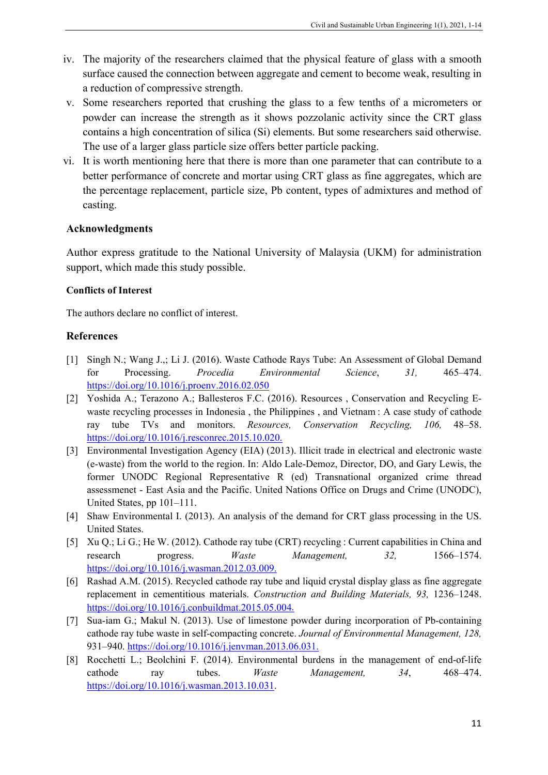- iv. The majority of the researchers claimed that the physical feature of glass with a smooth surface caused the connection between aggregate and cement to become weak, resulting in a reduction of compressive strength.
- v. Some researchers reported that crushing the glass to a few tenths of a micrometers or powder can increase the strength as it shows pozzolanic activity since the CRT glass contains a high concentration of silica (Si) elements. But some researchers said otherwise. The use of a larger glass particle size offers better particle packing.
- vi. It is worth mentioning here that there is more than one parameter that can contribute to a better performance of concrete and mortar using CRT glass as fine aggregates, which are the percentage replacement, particle size, Pb content, types of admixtures and method of casting.

# **Acknowledgments**

Author express gratitude to the National University of Malaysia (UKM) for administration support, which made this study possible.

#### **Conflicts of Interest**

The authors declare no conflict of interest.

#### **References**

- [1] Singh N.; Wang J.,; Li J. (2016). Waste Cathode Rays Tube: An Assessment of Global Demand for Processing. *Procedia Environmental Science*, *31,* 465–474. <https://doi.org/10.1016/j.proenv.2016.02.050>
- [2] Yoshida A.; Terazono A.; Ballesteros F.C. (2016). Resources , Conservation and Recycling Ewaste recycling processes in Indonesia , the Philippines , and Vietnam : A case study of cathode ray tube TVs and monitors. *Resources, Conservation Recycling, 106,* 48–58. [https://doi.org/10.1016/j.resconrec.2015.10.020.](https://doi.org/10.1016/j.resconrec.2015.10.020)
- [3] Environmental Investigation Agency (EIA) (2013). Illicit trade in electrical and electronic waste (e-waste) from the world to the region. In: Aldo Lale-Demoz, Director, DO, and Gary Lewis, the former UNODC Regional Representative R (ed) Transnational organized crime thread assessmenet - East Asia and the Pacific. United Nations Office on Drugs and Crime (UNODC), United States, pp 101–111.
- [4] Shaw Environmental I. (2013). An analysis of the demand for CRT glass processing in the US. United States.
- [5] Xu Q.; Li G.; He W. (2012). Cathode ray tube (CRT) recycling : Current capabilities in China and research progress. *Waste Management, 32,* 1566–1574. [https://doi.org/10.1016/j.wasman.2012.03.009.](https://doi.org/10.1016/j.wasman.2012.03.009)
- [6] Rashad A.M. (2015). Recycled cathode ray tube and liquid crystal display glass as fine aggregate replacement in cementitious materials. *Construction and Building Materials, 93,* 1236–1248. [https://doi.org/10.1016/j.conbuildmat.2015.05.004.](https://doi.org/10.1016/j.conbuildmat.2015.05.004)
- [7] Sua-iam G.; Makul N. (2013). Use of limestone powder during incorporation of Pb-containing cathode ray tube waste in self-compacting concrete. *Journal of Environmental Management, 128,* 931–940. [https://doi.org/10.1016/j.jenvman.2013.06.031.](https://doi.org/10.1016/j.jenvman.2013.06.031)
- [8] Rocchetti L.; Beolchini F. (2014). Environmental burdens in the management of end-of-life cathode ray tubes. *Waste Management, 34*, 468–474. [https://doi.org/10.1016/j.wasman.2013.10.031.](https://doi.org/10.1016/j.wasman.2013.10.031)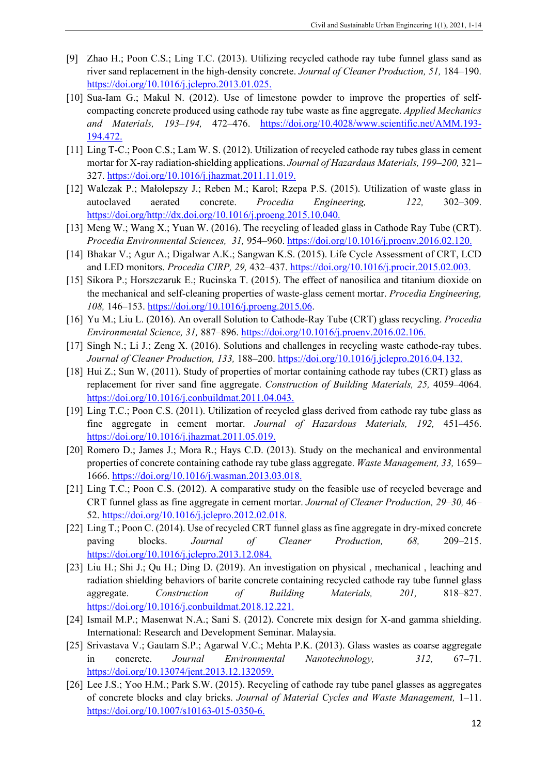- [9] Zhao H.; Poon C.S.; Ling T.C. (2013). Utilizing recycled cathode ray tube funnel glass sand as river sand replacement in the high-density concrete. *Journal of Cleaner Production, 51,* 184–190. [https://doi.org/10.1016/j.jclepro.2013.01.025.](https://doi.org/10.1016/j.jclepro.2013.01.025)
- [10] Sua-Iam G.; Makul N. (2012). Use of limestone powder to improve the properties of selfcompacting concrete produced using cathode ray tube waste as fine aggregate. *Applied Mechanics and Materials, 193–194,* 472–476. [https://doi.org/10.4028/www.scientific.net/AMM.193-](https://doi.org/10.4028/www.scientific.net/AMM.193-194.472) [194.472.](https://doi.org/10.4028/www.scientific.net/AMM.193-194.472)
- [11] Ling T-C.; Poon C.S.; Lam W. S. (2012). Utilization of recycled cathode ray tubes glass in cement mortar for X-ray radiation-shielding applications. *Journal of Hazardaus Materials, 199–200,* 321– 327. [https://doi.org/10.1016/j.jhazmat.2011.11.019.](https://doi.org/10.1016/j.jhazmat.2011.11.019)
- [12] Walczak P.; Małolepszy J.; Reben M.; Karol; Rzepa P.S. (2015). Utilization of waste glass in autoclaved aerated concrete. *Procedia Engineering, 122,* 302–309. [https://doi.org/http://dx.doi.org/10.1016/j.proeng.2015.10.040.](https://doi.org/http:/dx.doi.org/10.1016/j.proeng.2015.10.040)
- [13] Meng W.; Wang X.; Yuan W. (2016). The recycling of leaded glass in Cathode Ray Tube (CRT). *Procedia Environmental Sciences, 31,* 954–960. [https://doi.org/10.1016/j.proenv.2016.02.120.](https://doi.org/10.1016/j.proenv.2016.02.120)
- [14] Bhakar V.; Agur A.; Digalwar A.K.; Sangwan K.S. (2015). Life Cycle Assessment of CRT, LCD and LED monitors. *Procedia CIRP, 29,* 432–437. [https://doi.org/10.1016/j.procir.2015.02.003.](https://doi.org/10.1016/j.procir.2015.02.003)
- [15] Sikora P.; Horszczaruk E.; Rucinska T. (2015). The effect of nanosilica and titanium dioxide on the mechanical and self-cleaning properties of waste-glass cement mortar. *Procedia Engineering, 108,* 146–153. [https://doi.org/10.1016/j.proeng.2015.06.](https://doi.org/10.1016/j.proeng.2015.06)
- [16] Yu M.; Liu L. (2016). An overall Solution to Cathode-Ray Tube (CRT) glass recycling. *Procedia Environmental Science, 31,* 887–896. [https://doi.org/10.1016/j.proenv.2016.02.106.](https://doi.org/10.1016/j.proenv.2016.02.106)
- [17] Singh N.; Li J.; Zeng X. (2016). Solutions and challenges in recycling waste cathode-ray tubes. *Journal of Cleaner Production, 133,* 188–200. [https://doi.org/10.1016/j.jclepro.2016.04.132.](https://doi.org/10.1016/j.jclepro.2016.04.132)
- [18] Hui Z.; Sun W, (2011). Study of properties of mortar containing cathode ray tubes (CRT) glass as replacement for river sand fine aggregate. *Construction of Building Materials, 25,* 4059–4064. [https://doi.org/10.1016/j.conbuildmat.2011.04.043.](https://doi.org/10.1016/j.conbuildmat.2011.04.043)
- [19] Ling T.C.; Poon C.S. (2011). Utilization of recycled glass derived from cathode ray tube glass as fine aggregate in cement mortar. *Journal of Hazardous Materials, 192,* 451–456. [https://doi.org/10.1016/j.jhazmat.2011.05.019.](https://doi.org/10.1016/j.jhazmat.2011.05.019)
- [20] Romero D.; James J.; Mora R.; Hays C.D. (2013). Study on the mechanical and environmental properties of concrete containing cathode ray tube glass aggregate. *Waste Management, 33,* 1659– 1666. [https://doi.org/10.1016/j.wasman.2013.03.018.](https://doi.org/10.1016/j.wasman.2013.03.018)
- [21] Ling T.C.; Poon C.S. (2012). A comparative study on the feasible use of recycled beverage and CRT funnel glass as fine aggregate in cement mortar. *Journal of Cleaner Production, 29–30,* 46– 52. [https://doi.org/10.1016/j.jclepro.2012.02.018.](https://doi.org/10.1016/j.jclepro.2012.02.018)
- [22] Ling T.; Poon C. (2014). Use of recycled CRT funnel glass as fine aggregate in dry-mixed concrete paving blocks. *Journal of Cleaner Production, 68,* 209–215. [https://doi.org/10.1016/j.jclepro.2013.12.084.](https://doi.org/10.1016/j.jclepro.2013.12.084)
- [23] Liu H.; Shi J.; Qu H.; Ding D. (2019). An investigation on physical , mechanical , leaching and radiation shielding behaviors of barite concrete containing recycled cathode ray tube funnel glass aggregate. *Construction of Building Materials, 201,* 818–827. [https://doi.org/10.1016/j.conbuildmat.2018.12.221.](https://doi.org/10.1016/j.conbuildmat.2018.12.221)
- [24] Ismail M.P.; Masenwat N.A.; Sani S. (2012). Concrete mix design for X-and gamma shielding. International: Research and Development Seminar. Malaysia.
- [25] Srivastava V.; Gautam S.P.; Agarwal V.C.; Mehta P.K. (2013). Glass wastes as coarse aggregate in concrete. *Journal Environmental Nanotechnology, 312,* 67–71. [https://doi.org/10.13074/jent.2013.12.132059.](https://doi.org/10.13074/jent.2013.12.132059)
- [26] Lee J.S.; Yoo H.M.; Park S.W. (2015). Recycling of cathode ray tube panel glasses as aggregates of concrete blocks and clay bricks. *Journal of Material Cycles and Waste Management,* 1–11. [https://doi.org/10.1007/s10163-015-0350-6.](https://doi.org/10.1007/s10163-015-0350-6)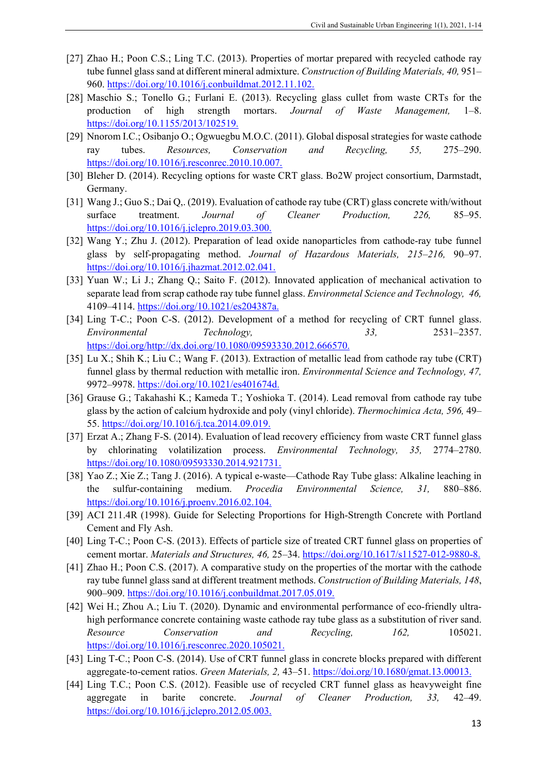- [27] Zhao H.; Poon C.S.; Ling T.C. (2013). Properties of mortar prepared with recycled cathode ray tube funnel glass sand at different mineral admixture. *Construction of Building Materials, 40,* 951– 960. [https://doi.org/10.1016/j.conbuildmat.2012.11.102.](https://doi.org/10.1016/j.conbuildmat.2012.11.102)
- [28] Maschio S.; Tonello G.; Furlani E. (2013). Recycling glass cullet from waste CRTs for the production of high strength mortars. *Journal of Waste Management,* 1–8. [https://doi.org/10.1155/2013/102519.](https://doi.org/10.1155/2013/102519)
- [29] Nnorom I.C.; Osibanjo O.; Ogwuegbu M.O.C. (2011). Global disposal strategies for waste cathode ray tubes. *Resources, Conservation and Recycling, 55,* 275–290. [https://doi.org/10.1016/j.resconrec.2010.10.007.](https://doi.org/10.1016/j.resconrec.2010.10.007)
- [30] Bleher D. (2014). Recycling options for waste CRT glass. Bo2W project consortium, Darmstadt, Germany.
- [31] Wang J.; Guo S.; Dai Q,. (2019). Evaluation of cathode ray tube (CRT) glass concrete with/without surface treatment. *Journal of Cleaner Production, 226,* 85–95. [https://doi.org/10.1016/j.jclepro.2019.03.300.](https://doi.org/10.1016/j.jclepro.2019.03.300)
- [32] Wang Y.; Zhu J. (2012). Preparation of lead oxide nanoparticles from cathode-ray tube funnel glass by self-propagating method. *Journal of Hazardous Materials, 215–216,* 90–97. [https://doi.org/10.1016/j.jhazmat.2012.02.041.](https://doi.org/10.1016/j.jhazmat.2012.02.041)
- [33] Yuan W.; Li J.; Zhang Q.; Saito F. (2012). Innovated application of mechanical activation to separate lead from scrap cathode ray tube funnel glass. *Environmetal Science and Technology, 46,*  4109–4114. [https://doi.org/10.1021/es204387a.](https://doi.org/10.1021/es204387a)
- [34] Ling T-C.; Poon C-S. (2012). Development of a method for recycling of CRT funnel glass. *Environmental Technology, 33,* 2531–2357. [https://doi.org/http://dx.doi.org/10.1080/09593330.2012.666570.](https://doi.org/http:/dx.doi.org/10.1080/09593330.2012.666570)
- [35] Lu X.; Shih K.; Liu C.; Wang F. (2013). Extraction of metallic lead from cathode ray tube (CRT) funnel glass by thermal reduction with metallic iron. *Environmental Science and Technology, 47,* 9972–9978. [https://doi.org/10.1021/es401674d.](https://doi.org/10.1021/es401674d)
- [36] Grause G.; Takahashi K.; Kameda T.; Yoshioka T. (2014). Lead removal from cathode ray tube glass by the action of calcium hydroxide and poly (vinyl chloride). *Thermochimica Acta, 596,* 49– 55. [https://doi.org/10.1016/j.tca.2014.09.019.](https://doi.org/10.1016/j.tca.2014.09.019)
- [37] Erzat A.; Zhang F-S. (2014). Evaluation of lead recovery efficiency from waste CRT funnel glass by chlorinating volatilization process. *Environmental Technology, 35,* 2774–2780. [https://doi.org/10.1080/09593330.2014.921731.](https://doi.org/10.1080/09593330.2014.921731)
- [38] Yao Z.; Xie Z.; Tang J. (2016). A typical e-waste—Cathode Ray Tube glass: Alkaline leaching in the sulfur-containing medium. *Procedia Environmental Science, 31,* 880–886. [https://doi.org/10.1016/j.proenv.2016.02.104.](https://doi.org/10.1016/j.proenv.2016.02.104)
- [39] ACI 211.4R (1998). Guide for Selecting Proportions for High-Strength Concrete with Portland Cement and Fly Ash.
- [40] Ling T-C.; Poon C-S. (2013). Effects of particle size of treated CRT funnel glass on properties of cement mortar. *Materials and Structures, 46,* 25–34. [https://doi.org/10.1617/s11527-012-9880-8.](https://doi.org/10.1617/s11527-012-9880-8)
- [41] Zhao H.; Poon C.S. (2017). A comparative study on the properties of the mortar with the cathode ray tube funnel glass sand at different treatment methods. *Construction of Building Materials, 148*, 900–909. [https://doi.org/10.1016/j.conbuildmat.2017.05.019.](https://doi.org/10.1016/j.conbuildmat.2017.05.019)
- [42] Wei H.; Zhou A.; Liu T. (2020). Dynamic and environmental performance of eco-friendly ultrahigh performance concrete containing waste cathode ray tube glass as a substitution of river sand. *Resource Conservation and Recycling, 162,* 105021. [https://doi.org/10.1016/j.resconrec.2020.105021.](https://doi.org/10.1016/j.resconrec.2020.105021)
- [43] Ling T-C.; Poon C-S. (2014). Use of CRT funnel glass in concrete blocks prepared with different aggregate-to-cement ratios. *Green Materials, 2,* 43–51. [https://doi.org/10.1680/gmat.13.00013.](https://doi.org/10.1680/gmat.13.00013)
- [44] Ling T.C.; Poon C.S. (2012). Feasible use of recycled CRT funnel glass as heavyweight fine aggregate in barite concrete. *Journal of Cleaner Production, 33,* 42–49. [https://doi.org/10.1016/j.jclepro.2012.05.003.](https://doi.org/10.1016/j.jclepro.2012.05.003)